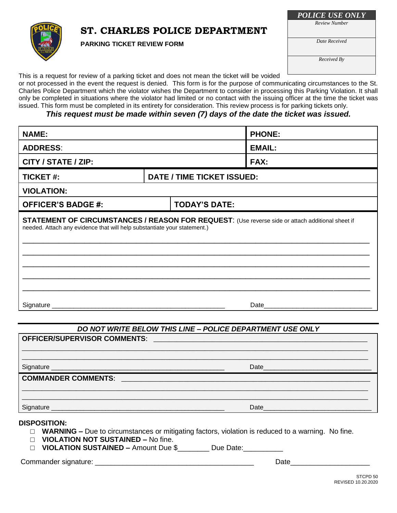# **ST. CHARLES POLICE DEPARTMENT**



**PARKING TICKET REVIEW FORM**

*POLICE USE ONLY*

*Review Number*

*Date Received*

*Received By*

This is a request for review of a parking ticket and does not mean the ticket will be voided

or not processed in the event the request is denied. This form is for the purpose of communicating circumstances to the St. Charles Police Department which the violator wishes the Department to consider in processing this Parking Violation. It shall only be completed in situations where the violator had limited or no contact with the issuing officer at the time the ticket was issued. This form must be completed in its entirety for consideration. This review process is for parking tickets only.

### *This request must be made within seven (7) days of the date the ticket was issued.*

| <b>NAME:</b>                                                                                                                                                                 |                                   |                      | <b>PHONE:</b> |  |
|------------------------------------------------------------------------------------------------------------------------------------------------------------------------------|-----------------------------------|----------------------|---------------|--|
| <b>ADDRESS:</b>                                                                                                                                                              |                                   |                      | <b>EMAIL:</b> |  |
| CITY / STATE / ZIP:                                                                                                                                                          |                                   |                      | FAX:          |  |
| <b>TICKET#:</b>                                                                                                                                                              | <b>DATE / TIME TICKET ISSUED:</b> |                      |               |  |
| <b>VIOLATION:</b>                                                                                                                                                            |                                   |                      |               |  |
| <b>OFFICER'S BADGE #:</b>                                                                                                                                                    |                                   | <b>TODAY'S DATE:</b> |               |  |
| STATEMENT OF CIRCUMSTANCES / REASON FOR REQUEST: (Use reverse side or attach additional sheet if<br>needed. Attach any evidence that will help substantiate your statement.) |                                   |                      |               |  |
| Signature _                                                                                                                                                                  |                                   |                      | Date          |  |

## *DO NOT WRITE BELOW THIS LINE – POLICE DEPARTMENT USE ONLY*

| OFFICER/SUPERVISOR COMMENTS:<br><u> 1989 - Johann Stein, marwolaethau a bhann an t-Amhair ann an t-Amhair an t-Amhair an t-Amhair an t-Amhair an </u> |                                                              |  |  |  |
|-------------------------------------------------------------------------------------------------------------------------------------------------------|--------------------------------------------------------------|--|--|--|
|                                                                                                                                                       |                                                              |  |  |  |
|                                                                                                                                                       |                                                              |  |  |  |
| <b>COMMANDER COMMENTS:</b>                                                                                                                            |                                                              |  |  |  |
|                                                                                                                                                       |                                                              |  |  |  |
| Signature<br><u> 1989 - Johann Stein, markin film yn y brenin y brenin y brenin y brenin y brenin y brenin y brenin y brenin y</u>                    | Date<br><u> 1980 - Jan Barnett, fransk politik (f. 1980)</u> |  |  |  |

#### **DISPOSITION:**

- □ **WARNING** Due to circumstances or mitigating factors, violation is reduced to a warning. No fine.
- □ **VIOLATION NOT SUSTAINED –** No fine.
- □ **VIOLATION SUSTAINED –** Amount Due \$\_\_\_\_\_\_\_\_ Due Date:\_\_\_\_\_\_\_

Commander signature: \_\_\_\_\_\_\_\_\_\_\_\_\_\_\_\_\_\_\_\_\_\_\_\_\_\_\_\_\_\_\_\_\_\_\_\_\_\_\_\_ Date\_\_\_\_\_\_\_\_\_\_\_\_\_\_\_\_\_\_\_\_